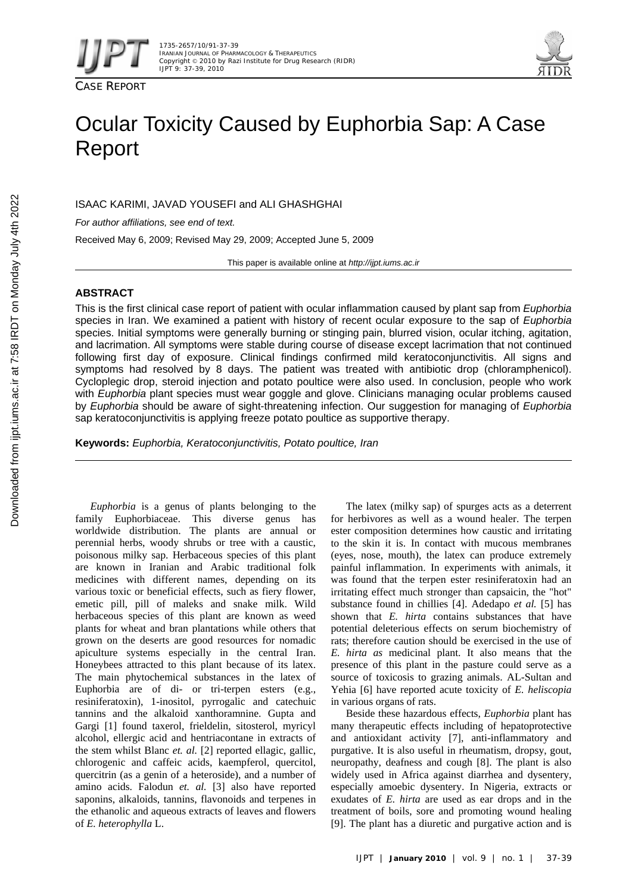



# Ocular Toxicity Caused by Euphorbia Sap: A Case Report

ISAAC KARIMI, JAVAD YOUSEFI and ALI GHASHGHAI

*For author affiliations, see end of text.* 

Received May 6, 2009; Revised May 29, 2009; Accepted June 5, 2009

This paper is available online at *http://ijpt.iums.ac.ir*

# **ABSTRACT**

This is the first clinical case report of patient with ocular inflammation caused by plant sap from *Euphorbia*  species in Iran. We examined a patient with history of recent ocular exposure to the sap of *Euphorbia*  species. Initial symptoms were generally burning or stinging pain, blurred vision, ocular itching, agitation, and lacrimation. All symptoms were stable during course of disease except lacrimation that not continued following first day of exposure. Clinical findings confirmed mild keratoconjunctivitis. All signs and symptoms had resolved by 8 days. The patient was treated with antibiotic drop (chloramphenicol). Cycloplegic drop, steroid injection and potato poultice were also used. In conclusion, people who work with *Euphorbia* plant species must wear goggle and glove. Clinicians managing ocular problems caused by *Euphorbia* should be aware of sight-threatening infection. Our suggestion for managing of *Euphorbia* sap keratoconjunctivitis is applying freeze potato poultice as supportive therapy.

**Keywords:** *Euphorbia, Keratoconjunctivitis, Potato poultice, Iran* 

*Euphorbia* is a genus of plants belonging to the family Euphorbiaceae. This diverse genus has worldwide distribution. The plants are annual or perennial herbs, woody shrubs or tree with a caustic, poisonous milky sap. Herbaceous species of this plant are known in Iranian and Arabic traditional folk medicines with different names, depending on its various toxic or beneficial effects, such as fiery flower, emetic pill, pill of maleks and snake milk. Wild herbaceous species of this plant are known as weed plants for wheat and bran plantations while others that grown on the deserts are good resources for nomadic apiculture systems especially in the central Iran. Honeybees attracted to this plant because of its latex. The main phytochemical substances in the latex of Euphorbia are of di- or tri-terpen esters (e.g., resiniferatoxin), 1-inositol, pyrrogalic and catechuic tannins and the alkaloid xanthoramnine. Gupta and Gargi [1] found taxerol, frieldelin, sitosterol, myricyl alcohol, ellergic acid and hentriacontane in extracts of the stem whilst Blanc *et. al.* [2] reported ellagic, gallic, chlorogenic and caffeic acids, kaempferol, quercitol, quercitrin (as a genin of a heteroside), and a number of amino acids. Falodun *et. al.* [3] also have reported saponins, alkaloids, tannins, flavonoids and terpenes in the ethanolic and aqueous extracts of leaves and flowers of *E. heterophylla* L.

The latex (milky sap) of spurges acts as a deterrent for herbivores as well as a wound healer. The terpen ester composition determines how caustic and irritating to the skin it is. In contact with mucous membranes (eyes, nose, mouth), the latex can produce extremely painful inflammation. In experiments with animals, it was found that the terpen ester resiniferatoxin had an irritating effect much stronger than capsaicin, the "hot" substance found in chillies [4]. Adedapo *et al.* [5] has shown that *E. hirta* contains substances that have potential deleterious effects on serum biochemistry of rats; therefore caution should be exercised in the use of *E. hirta as* medicinal plant. It also means that the presence of this plant in the pasture could serve as a source of toxicosis to grazing animals. AL-Sultan and Yehia [6] have reported acute toxicity of *E. heliscopia* in various organs of rats.

Beside these hazardous effects, *Euphorbia* plant has many therapeutic effects including of hepatoprotective and antioxidant activity [7], anti-inflammatory and purgative. It is also useful in rheumatism, dropsy, gout, neuropathy, deafness and cough [8]. The plant is also widely used in Africa against diarrhea and dysentery, especially amoebic dysentery. In Nigeria, extracts or exudates of *E. hirta* are used as ear drops and in the treatment of boils, sore and promoting wound healing [ 9]. The plant has a diuretic and purgative action and is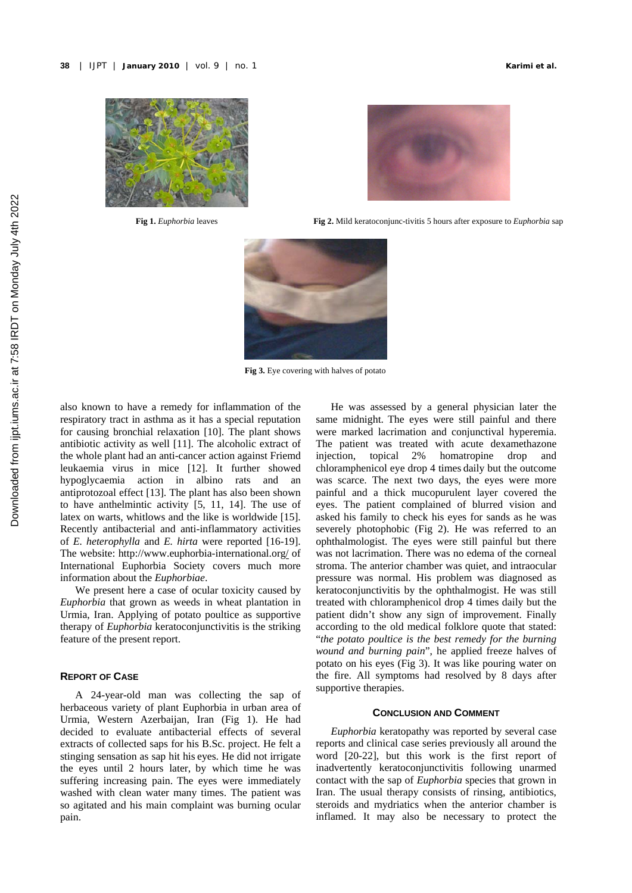



**Fig 1.** *Euphorbia* leaves **Fig 2.** Mild keratoconjunc-tivitis 5 hours after exposure to *Euphorbia* sap



**Fig 3.** Eye covering with halves of potato

also known to have a remedy for inflammation of the respiratory tract in asthma as it has a special reputation for causing bronchial relaxation [ 10]. The plant shows antibiotic activity as well [11]. The alcoholic extract of the whole plant had an anti-cancer action against Friemd leukaemia virus in mice [12]. It further showed hypoglycaemia action in albino rats and an antiprotozoal effect [ 13]. The plant has also been shown to have anthelmintic activity  $[5, 11, 14]$ . The use of latex on warts, whitlows and the like is worldwide [15]. Recently antibacterial and anti-inflammatory activities of *E. heterophylla* and *E. hirta* were reported [ 16- 19]. The website: http://www.euphorbia-international.org/ of International Euphorbia Society covers much more information about the *Euphorbiae*.

We present here a case of ocular toxicity caused by *Euphorbia* that grown as weeds in wheat plantation in Urmia, Iran. Applying of potato poultice as supportive therapy of *Euphorbia* keratoconjunctivitis is the striking feature of the present report.

# **REPORT OF CASE**

A 24-year-old man was collecting the sap of herbaceous variety of plant Euphorbia in urban area of Urmia, Western Azerbaijan, Iran (Fig 1). He had decided to evaluate antibacterial effects of several extracts of collected saps for his B.Sc. project. He felt a stinging sensation as sap hit his eyes. He did not irrigate the eyes until 2 hours later, by which time he was suffering increasing pain. The eyes were immediately washed with clean water many times. The patient was so agitated and his main complaint was burning ocular pain.

He was assessed by a general physician later the same midnight. The eyes were still painful and there were marked lacrimation and conjunctival hyperemia. The patient was treated with acute dexamethazone injection, topical 2% homatropine drop and chloramphenicol eye drop 4 times daily but the outcome was scarce. The next two days, the eyes were more painful and a thick mucopurulent layer covered the eyes. The patient complained of blurred vision and asked his family to check his eyes for sands as he was severely photophobic (Fig 2). He was referred to an ophthalmologist. The eyes were still painful but there was not lacrimation. There was no edema of the corneal stroma. The anterior chamber was quiet, and intraocular pressure was normal. His problem was diagnosed as keratoconjunctivitis by the ophthalmogist. He was still treated with chloramphenicol drop 4 times daily but the patient didn't show any sign of improvement. Finally according to the old medical folklore quote that stated: "*the potato poultice is the best remedy for the burning wound and burning pain*", he applied freeze halves of potato on his eyes (Fig 3). It was like pouring water on the fire. All symptoms had resolved by 8 days after supportive therapies.

# **CONCLUSION AND COMMENT**

*Euphorbia* keratopathy was reported by several case reports and clinical case series previously all around the word [20-22], but this work is the first report of inadvertently keratoconjunctivitis following unarmed contact with the sap of *Euphorbia* species that grown in Iran. The usual therapy consists of rinsing, antibiotics, steroids and mydriatics when the anterior chamber is inflamed. It may also be necessary to protect the